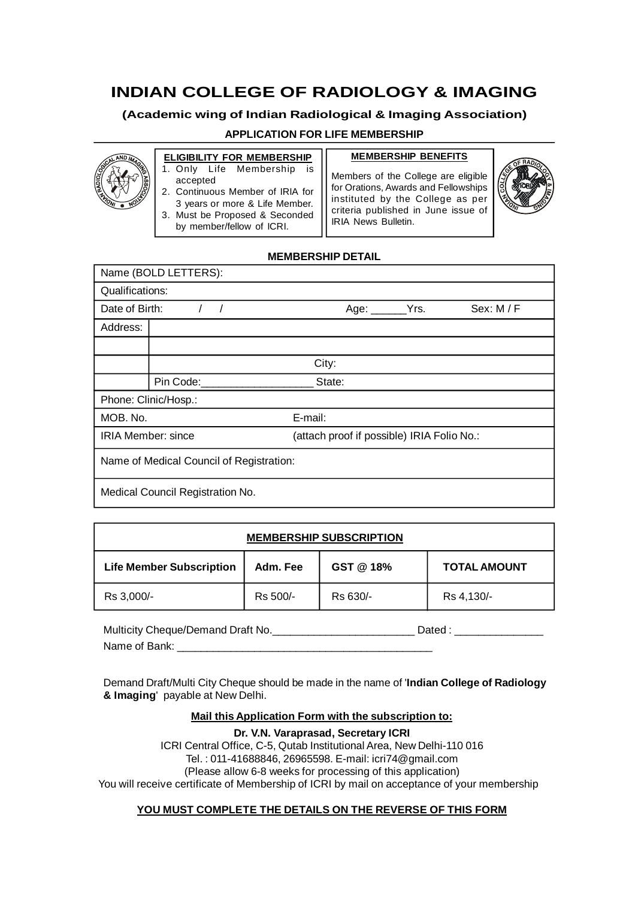# **INDIAN COLLEGE OF RADIOLOGY & IMAGING**

## **(Academic wing of Indian Radiological & Imaging Association)**

### **APPLICATION FOR LIFE MEMBERSHIP**



- **ELIGIBILITY FOR MEMBERSHIP** 1. Only Life Membership is accepted
- 2. Continuous Member of IRIA for 3 years or more & Life Member.
- 3. Must be Proposed & Seconded by member/fellow of ICRI.

**MEMBERSHIP BENEFITS**

Members of the College are eligible for Orations, Awards and Fellowships instituted by the College as per criteria published in June issue of IRIA News Bulletin.



## **MEMBERSHIP DETAIL**

|                                          | Name (BOLD LETTERS): |                                            |  |            |
|------------------------------------------|----------------------|--------------------------------------------|--|------------|
| Qualifications:                          |                      |                                            |  |            |
| Date of Birth:                           | $\left  \right $     | Age: $\rule{1em}{0.15mm}$ Yrs.             |  | Sex: M / F |
| Address:                                 |                      |                                            |  |            |
|                                          |                      |                                            |  |            |
|                                          |                      | City:                                      |  |            |
|                                          | Pin Code:            | State:                                     |  |            |
|                                          | Phone: Clinic/Hosp.: |                                            |  |            |
| MOB. No.                                 |                      | E-mail:                                    |  |            |
| <b>IRIA Member: since</b>                |                      | (attach proof if possible) IRIA Folio No.: |  |            |
| Name of Medical Council of Registration: |                      |                                            |  |            |
| Medical Council Registration No.         |                      |                                            |  |            |

| <b>MEMBERSHIP SUBSCRIPTION</b>  |          |           |                     |
|---------------------------------|----------|-----------|---------------------|
| <b>Life Member Subscription</b> | Adm. Fee | GST @ 18% | <b>TOTAL AMOUNT</b> |
| Rs 3,000/-                      | Rs 500/- | Rs 630/-  | Rs 4,130/-          |

Multicity Cheque/Demand Draft No. Name of Bank: \_\_\_\_\_\_\_\_\_\_\_\_\_\_\_\_\_\_\_\_\_\_\_\_\_\_\_\_\_\_\_\_\_\_\_\_\_\_\_\_\_\_\_

Demand Draft/Multi City Cheque should be made in the name of '**Indian College of Radiology & Imaging**' payable at New Delhi.

#### **Mail this Application Form with the subscription to:**

**Dr. V.N. Varaprasad, Secretary ICRI** ICRI Central Office, C-5, Qutab Institutional Area, New Delhi-110 016 Tel. : 011-41688846, 26965598. E-mail: icri74@gmail.com (Please allow 6-8 weeks for processing of this application) You will receive certificate of Membership of ICRI by mail on acceptance of your membership

## **YOU MUST COMPLETE THE DETAILS ON THE REVERSE OF THIS FORM**